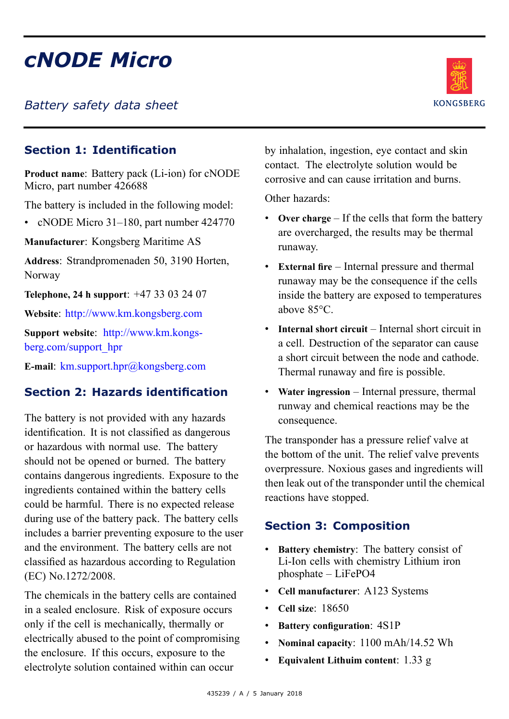# *cNODE Micro*

*Battery safety data sheet*



# **Section 1: Identification**

**Product name**: Battery pack (Li-ion) for cNODE Micro, par<sup>t</sup> number 426688

The battery is included in the following model:

• cNODE Micro 31–180, part number 424770

**Manufacturer**: Kongsberg Maritime AS

**Address**: Strandpromenaden 50, 3190 Horten, Norway

**Telephone, 24 <sup>h</sup> support**: +47 33 03 24 07

**Website**: <http://www.km.kongsberg.com>

**Support website**: [http://www.km.kongs](http://www.km.kongsberg.com/support_hpr)[berg.com/support\\_hpr](http://www.km.kongsberg.com/support_hpr)

**E-mail**: [km.support.hpr@kongsberg.com](mailto:km.support.hpr@kongsberg.com)

# **Section 2: Hazards identification**

The battery is not provided with any hazards identification. It is not classified as dangerous or hazardous with normal use. The battery should not be opened or burned. The battery contains dangerous ingredients. Exposure to the ingredients contained within the battery cells could be harmful. There is no expected release during use of the battery pack. The battery cells includes <sup>a</sup> barrier preventing exposure to the user and the environment. The battery cells are not classified as hazardous according to Regulation (EC) No.1272/2008.

The chemicals in the battery cells are contained in <sup>a</sup> sealed enclosure. Risk of exposure occurs only if the cell is mechanically, thermally or electrically abused to the point of compromising the enclosure. If this occurs, exposure to the electrolyte solution contained within can occur

by inhalation, ingestion, eye contact and skin contact. The electrolyte solution would be corrosive and can cause irritation and burns.

Other hazards:

- **Over charge** If the cells that form the battery are overcharged, the results may be thermal runaway.
- **External fire** Internal pressure and thermal runaway may be the consequence if the cells inside the battery are exposed to temperatures above 85°C.
- **Internal short circuit** Internal short circuit in <sup>a</sup> cell. Destruction of the separator can cause <sup>a</sup> short circuit between the node and cathode. Thermal runaway and fire is possible.
- **Water ingression** Internal pressure, thermal runway and chemical reactions may be the consequence.

The transponder has <sup>a</sup> pressure relief valve at the bottom of the unit. The relief valve prevents overpressure. Noxious gases and ingredients will then leak out of the transponder until the chemical reactions have stopped.

# **Section 3: Composition**

- **Battery chemistry**: The battery consist of Li-Ion cells with chemistry Lithium iron phosphate – LiFePO4
- **Cell manufacturer**: A123 Systems
- **Cell size**: 18650
- **Battery configuration**: 4S1P
- •**Nominal capacity**: 1100 mAh/14.52 Wh
- •**Equivalent Lithuim content**: 1.33 g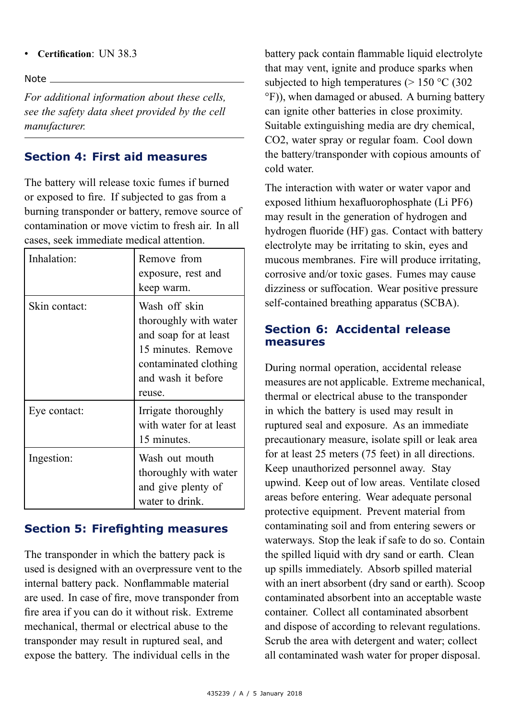#### •**Certification**: UN 38.3

Note

*For additional information about these cells, see the safety data sheet provided by the cell manufacturer.*

#### **Section 4: First aid measures**

The battery will release toxic fumes if burned or exposed to fire. If subjected to gas from <sup>a</sup> burning transponder or battery, remove source of contamination or move victim to fresh air. In all cases, seek immediate medical attention.

| Inhalation:   | Remove from<br>exposure, rest and                                                                                                              |
|---------------|------------------------------------------------------------------------------------------------------------------------------------------------|
|               | keep warm.                                                                                                                                     |
| Skin contact: | Wash off skin<br>thoroughly with water<br>and soap for at least<br>15 minutes. Remove<br>contaminated clothing<br>and wash it before<br>reuse. |
| Eye contact:  | Irrigate thoroughly<br>with water for at least<br>15 minutes.                                                                                  |
| Ingestion:    | Wash out mouth<br>thoroughly with water<br>and give plenty of<br>water to drink.                                                               |

# **Section 5: Firefighting measures**

The transponder in which the battery pack is used is designed with an overpressure vent to the internal battery pack. Nonflammable material are used. In case of fire, move transponder from fire area if you can do it without risk. Extreme mechanical, thermal or electrical abuse to the transponder may result in ruptured seal, and expose the battery. The individual cells in the

battery pack contain flammable liquid electrolyte that may vent, ignite and produce sparks when subjected to high temperatures ( $> 150$  °C (302) °F)), when damaged or abused. A burning battery can ignite other batteries in close proximity. Suitable extinguishing media are dry chemical, CO2, water spray or regular foam. Cool down the battery/transponder with copious amounts of cold water.

The interaction with water or water vapor and exposed lithium hexafluorophosphate (Li PF6) may result in the generation of hydrogen and hydrogen fluoride (HF) gas. Contact with battery electrolyte may be irritating to skin, eyes and mucous membranes. Fire will produce irritating, corrosive and/or toxic gases. Fumes may cause dizziness or suffocation. Wear positive pressure self-contained breathing apparatus (SCBA).

#### **Section 6: Accidental release measures**

During normal operation, accidental release measures are not applicable. Extreme mechanical, thermal or electrical abuse to the transponder in which the battery is used may result in ruptured seal and exposure. As an immediate precautionary measure, isolate spill or leak area for at least 25 meters (75 feet) in all directions. Keep unauthorized personnel away. Stay upwind. Keep out of low areas. Ventilate closed areas before entering. Wear adequate personal protective equipment. Prevent material from contaminating soil and from entering sewers or waterways. Stop the leak if safe to do so. Contain the spilled liquid with dry sand or earth. Clean up spills immediately. Absorb spilled material with an inert absorbent (dry sand or earth). Scoop contaminated absorbent into an acceptable waste container. Collect all contaminated absorbent and dispose of according to relevant regulations. Scrub the area with detergent and water; collect all contaminated wash water for proper disposal.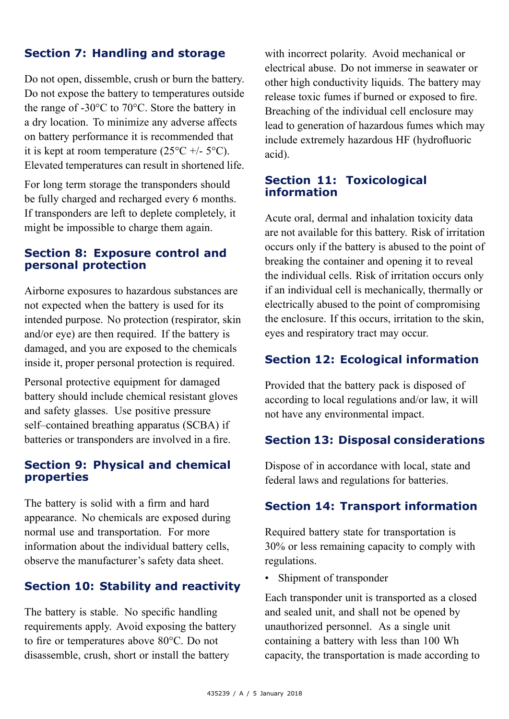# **Section 7: Handling and storage**

Do not open, dissemble, crush or burn the battery. Do not expose the battery to temperatures outside the range of -30°C to 70°C. Store the battery in <sup>a</sup> dry location. To minimize any adverse affects on battery performance it is recommended that it is kept at room temperature  $(25^{\circ}C + 5^{\circ}C)$ . Elevated temperatures can result in shortened life.

For long term storage the transponders should be fully charged and recharged every 6 months. If transponders are left to deplete completely, it might be impossible to charge them again.

#### **Section 8: Exposure control and personal protection**

Airborne exposures to hazardous substances are not expected when the battery is used for its intended purpose. No protection (respirator, skin and/or eye) are then required. If the battery is damaged, and you are exposed to the chemicals inside it, proper personal protection is required.

Personal protective equipment for damaged battery should include chemical resistant gloves and safety glasses. Use positive pressure self–contained breathing apparatus (SCBA) if batteries or transponders are involved in <sup>a</sup> fire.

#### **Section 9: Physical and chemical properties**

The battery is solid with <sup>a</sup> firm and hard appearance. No chemicals are exposed during normal use and transportation. For more information about the individual battery cells, observe the manufacturer's safety data sheet.

# **Section 10: Stability and reactivity**

The battery is stable. No specific handling requirements apply. Avoid exposing the battery to fire or temperatures above 80°C. Do not disassemble, crush, short or install the battery

with incorrect polarity. Avoid mechanical or electrical abuse. Do not immerse in seawater or other high conductivity liquids. The battery may release toxic fumes if burned or exposed to fire. Breaching of the individual cell enclosure may lead to generation of hazardous fumes which may include extremely hazardous HF (hydrofluoric acid).

#### **Section 11: Toxicological information**

Acute oral, dermal and inhalation toxicity data are not available for this battery. Risk of irritation occurs only if the battery is abused to the point of breaking the container and opening it to reveal the individual cells. Risk of irritation occurs only if an individual cell is mechanically, thermally or electrically abused to the point of compromising the enclosure. If this occurs, irritation to the skin, eyes and respiratory tract may occur.

#### **Section 12: Ecological information**

Provided that the battery pack is disposed of according to local regulations and/or law, it will not have any environmental impact.

#### **Section 13: Disposal considerations**

Dispose of in accordance with local, state and federal laws and regulations for batteries.

#### **Section 14: Transport information**

Required battery state for transportation is 30% or less remaining capacity to comply with regulations.

• Shipment of transponder

Each transponder unit is transported as <sup>a</sup> closed and sealed unit, and shall not be opened by unauthorized personnel. As <sup>a</sup> single unit containing <sup>a</sup> battery with less than 100 Wh capacity, the transportation is made according to